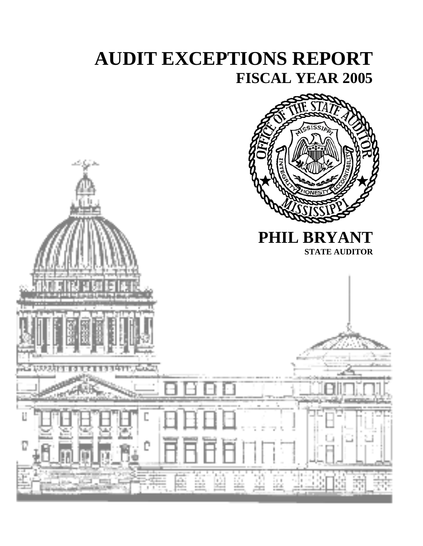# **AUDIT EXCEPTIONS REPORT FISCAL YEAR 2005**

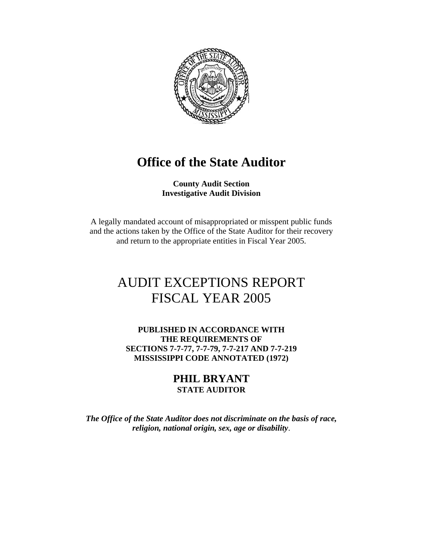

# **Office of the State Auditor**

**County Audit Section Investigative Audit Division**

A legally mandated account of misappropriated or misspent public funds and the actions taken by the Office of the State Auditor for their recovery and return to the appropriate entities in Fiscal Year 2005.

# AUDIT EXCEPTIONS REPORT FISCAL YEAR 2005

**PUBLISHED IN ACCORDANCE WITH THE REQUIREMENTS OF SECTIONS 7-7-77, 7-7-79, 7-7-217 AND 7-7-219 MISSISSIPPI CODE ANNOTATED (1972)** 

#### **PHIL BRYANT STATE AUDITOR**

*The Office of the State Auditor does not discriminate on the basis of race, religion, national origin, sex, age or disability*.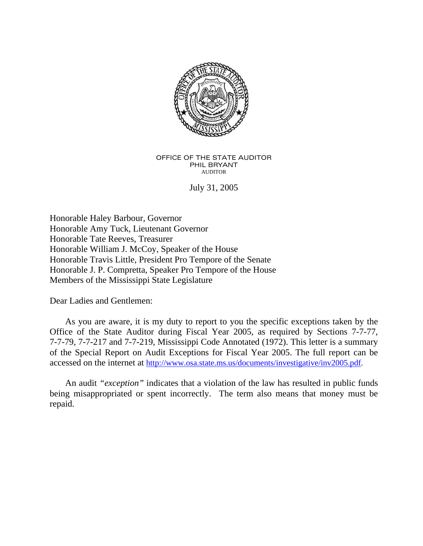

#### OFFICE OF THE STATE AUDITOR PHIL BRYANT AUDITOR

July 31, 2005

Honorable Haley Barbour, Governor Honorable Amy Tuck, Lieutenant Governor Honorable Tate Reeves, Treasurer Honorable William J. McCoy, Speaker of the House Honorable Travis Little, President Pro Tempore of the Senate Honorable J. P. Compretta, Speaker Pro Tempore of the House Members of the Mississippi State Legislature

Dear Ladies and Gentlemen:

 As you are aware, it is my duty to report to you the specific exceptions taken by the Office of the State Auditor during Fiscal Year 2005, as required by Sections 7-7-77, 7-7-79, 7-7-217 and 7-7-219, Mississippi Code Annotated (1972). This letter is a summary of the Special Report on Audit Exceptions for Fiscal Year 2005. The full report can be accessed on the internet at http://www.osa.state.ms.us/documents/investigative/inv2005.pdf.

 An audit *"exception"* indicates that a violation of the law has resulted in public funds being misappropriated or spent incorrectly. The term also means that money must be repaid.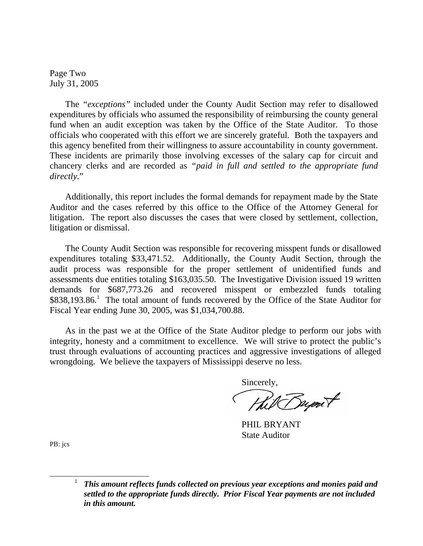Page Two July 31, 2005

 The *"exceptions"* included under the County Audit Section may refer to disallowed expenditures by officials who assumed the responsibility of reimbursing the county general fund when an audit exception was taken by the Office of the State Auditor. To those officials who cooperated with this effort we are sincerely grateful. Both the taxpayers and this agency benefited from their willingness to assure accountability in county government. These incidents are primarily those involving excesses of the salary cap for circuit and chancery clerks and are recorded as *"paid in full and settled to the appropriate fund directly*."

 Additionally, this report includes the formal demands for repayment made by the State Auditor and the cases referred by this office to the Office of the Attorney General for litigation. The report also discusses the cases that were closed by settlement, collection, litigation or dismissal.

 The County Audit Section was responsible for recovering misspent funds or disallowed expenditures totaling \$33,471.52. Additionally, the County Audit Section, through the audit process was responsible for the proper settlement of unidentified funds and assessments due entities totaling \$163,035.50. The Investigative Division issued 19 written demands for \$687,773.26 and recovered misspent or embezzled funds totaling \$838,193.86.<sup>1</sup> The total amount of funds recovered by the Office of the State Auditor for Fiscal Year ending June 30, 2005, was \$1,034,700.88.

 As in the past we at the Office of the State Auditor pledge to perform our jobs with integrity, honesty and a commitment to excellence. We will strive to protect the public's trust through evaluations of accounting practices and aggressive investigations of alleged wrongdoing. We believe the taxpayers of Mississippi deserve no less.

Sincerely,

Hill Bupont

 PHIL BRYANT State Auditor

PB: jcs

 <sup>1</sup> *This amount reflects funds collected on previous year exceptions and monies paid and settled to the appropriate funds directly. Prior Fiscal Year payments are not included in this amount.*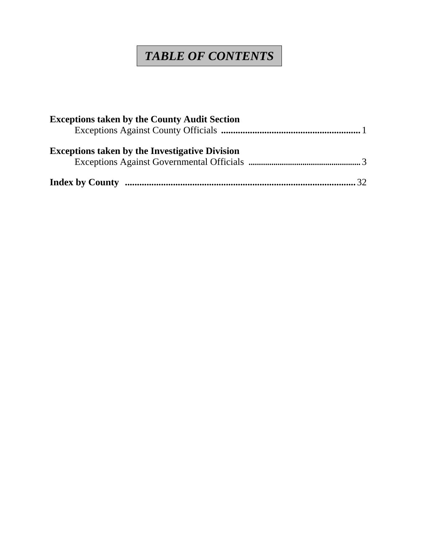# *TABLE OF CONTENTS*

| <b>Exceptions taken by the County Audit Section</b>   |  |
|-------------------------------------------------------|--|
| <b>Exceptions taken by the Investigative Division</b> |  |
|                                                       |  |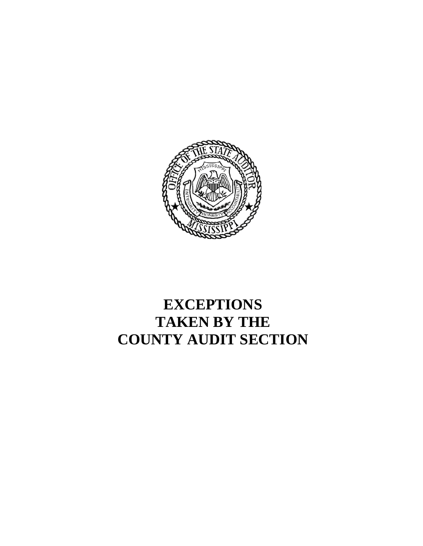

# **EXCEPTIONS TAKEN BY THE COUNTY AUDIT SECTION**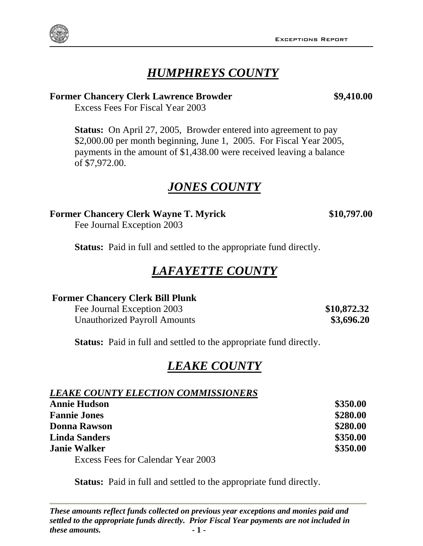#### Exceptions Report

# *HUMPHREYS COUNTY*

#### **Former Chancery Clerk Lawrence Browder \$9,410.00**

Excess Fees For Fiscal Year 2003

 **Status:** On April 27, 2005, Browder entered into agreement to pay \$2,000.00 per month beginning, June 1, 2005. For Fiscal Year 2005, payments in the amount of \$1,438.00 were received leaving a balance of \$7,972.00.

# *JONES COUNTY*

#### **Former Chancery Clerk Wayne T. Myrick \$10,797.00**

Fee Journal Exception 2003

**Status:** Paid in full and settled to the appropriate fund directly.

# *LAFAYETTE COUNTY*

#### **Former Chancery Clerk Bill Plunk**

Fee Journal Exception 2003 **\$10,872.32** Unauthorized Payroll Amounts **\$3,696.20** 

**Status:** Paid in full and settled to the appropriate fund directly.

# *LEAKE COUNTY*

### *LEAKE COUNTY ELECTION COMMISSIONERS*

| <b>Annie Hudson</b>                | \$350.00 |
|------------------------------------|----------|
| <b>Fannie Jones</b>                | \$280.00 |
| <b>Donna Rawson</b>                | \$280.00 |
| <b>Linda Sanders</b>               | \$350.00 |
| <b>Janie Walker</b>                | \$350.00 |
| Excess Fees for Calendar Year 2003 |          |

**Status:** Paid in full and settled to the appropriate fund directly.

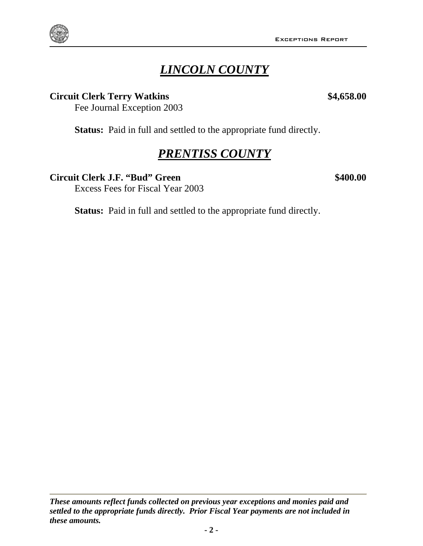# *LINCOLN COUNTY*

#### **Circuit Clerk Terry Watkins \$4,658.00**

Fee Journal Exception 2003

Status: Paid in full and settled to the appropriate fund directly.

# *PRENTISS COUNTY*

#### **Circuit Clerk J.F. "Bud" Green \$400.00**

Excess Fees for Fiscal Year 2003

Status: Paid in full and settled to the appropriate fund directly.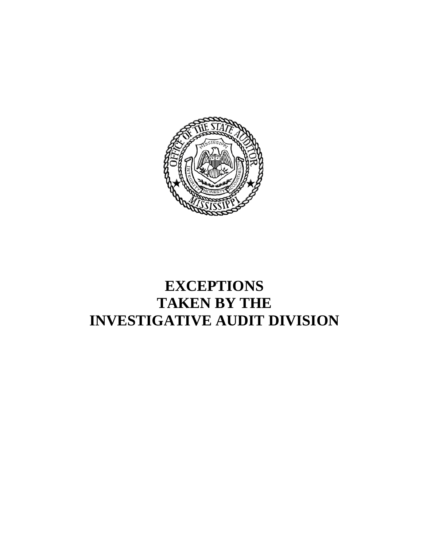

# **EXCEPTIONS TAKEN BY THE INVESTIGATIVE AUDIT DIVISION**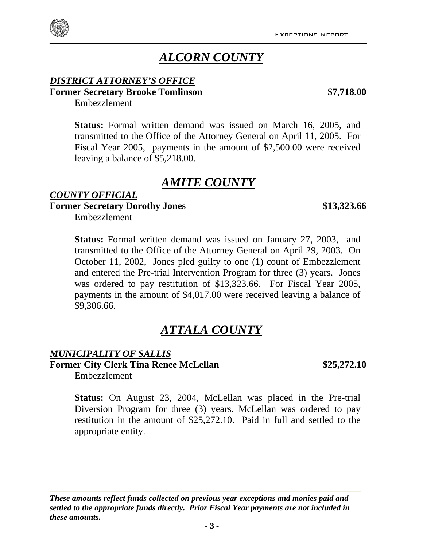# *ALCORN COUNTY*

#### *DISTRICT ATTORNEY'S OFFICE* **Former Secretary Brooke Tomlinson \$7,718.00**

**Status:** Formal written demand was issued on March 16, 2005, and transmitted to the Office of the Attorney General on April 11, 2005. For Fiscal Year 2005, payments in the amount of \$2,500.00 were received leaving a balance of \$5,218.00.

# *AMITE COUNTY*

#### *COUNTY OFFICIAL* **Former Secretary Dorothy Jones \$13,323.66**

Embezzlement

Embezzlement

**Status:** Formal written demand was issued on January 27, 2003, and transmitted to the Office of the Attorney General on April 29, 2003. On October 11, 2002, Jones pled guilty to one (1) count of Embezzlement and entered the Pre-trial Intervention Program for three (3) years. Jones was ordered to pay restitution of \$13,323.66. For Fiscal Year 2005, payments in the amount of \$4,017.00 were received leaving a balance of \$9,306.66.

# *ATTALA COUNTY*

#### *MUNICIPALITY OF SALLIS* Former City Clerk Tina Renee McLellan **\$25,272.10**

Embezzlement

**Status:** On August 23, 2004, McLellan was placed in the Pre-trial Diversion Program for three (3) years. McLellan was ordered to pay restitution in the amount of \$25,272.10. Paid in full and settled to the appropriate entity.

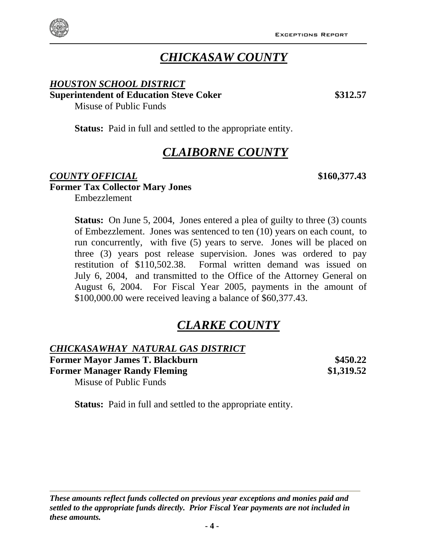

# *CHICKASAW COUNTY*

#### *HOUSTON SCHOOL DISTRICT* **Superintendent of Education Steve Coker \$312.57** \$312.57

Misuse of Public Funds

**Status:** Paid in full and settled to the appropriate entity.

# *CLAIBORNE COUNTY*

#### *COUNTY OFFICIAL* **\$160,377.43 Former Tax Collector Mary Jones**  Embezzlement

**Status:** On June 5, 2004, Jones entered a plea of guilty to three (3) counts of Embezzlement. Jones was sentenced to ten (10) years on each count, to run concurrently, with five (5) years to serve. Jones will be placed on three (3) years post release supervision. Jones was ordered to pay restitution of \$110,502.38.Formal written demand was issued on July 6, 2004, and transmitted to the Office of the Attorney General on August 6, 2004. For Fiscal Year 2005, payments in the amount of \$100,000.00 were received leaving a balance of \$60,377.43.

# *CLARKE COUNTY*

#### *CHICKASAWHAY NATURAL GAS DISTRICT* **Former Mayor James T. Blackburn \$450.22 Former Manager Randy Fleming 61,319.52** Misuse of Public Funds

**Status:** Paid in full and settled to the appropriate entity.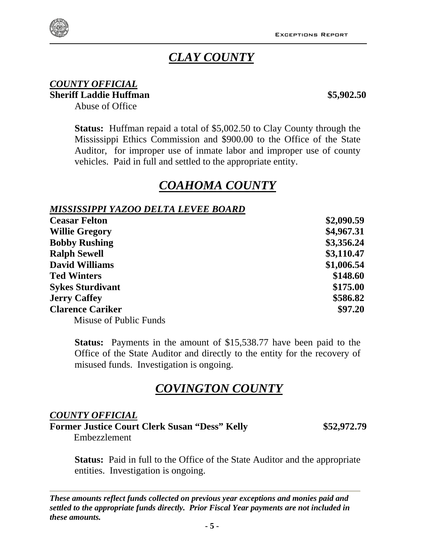## *CLAY COUNTY*

#### *COUNTY OFFICIAL* **Sheriff Laddie Huffman** \$5,902.50

Abuse of Office

**Status:** Huffman repaid a total of \$5,002.50 to Clay County through the Mississippi Ethics Commission and \$900.00 to the Office of the State Auditor, for improper use of inmate labor and improper use of county vehicles. Paid in full and settled to the appropriate entity.

# *COAHOMA COUNTY*

#### *MISSISSIPPI YAZOO DELTA LEVEE BOARD*

| <b>Ceasar Felton</b>    | \$2,090.59 |
|-------------------------|------------|
| <b>Willie Gregory</b>   | \$4,967.31 |
| <b>Bobby Rushing</b>    | \$3,356.24 |
| <b>Ralph Sewell</b>     | \$3,110.47 |
| <b>David Williams</b>   | \$1,006.54 |
| <b>Ted Winters</b>      | \$148.60   |
| <b>Sykes Sturdivant</b> | \$175.00   |
| <b>Jerry Caffey</b>     | \$586.82   |
| <b>Clarence Cariker</b> | \$97.20    |
| Misuse of Public Funds  |            |

**Status:** Payments in the amount of \$15,538.77 have been paid to the Office of the State Auditor and directly to the entity for the recovery of misused funds. Investigation is ongoing.

## *COVINGTON COUNTY*

#### *COUNTY OFFICIAL*

**Former Justice Court Clerk Susan "Dess" Kelly \$52,972.79** 

Embezzlement

**Status:** Paid in full to the Office of the State Auditor and the appropriate entities. Investigation is ongoing.

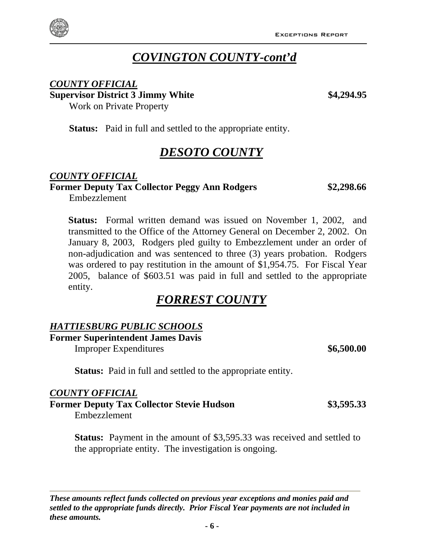

# *COVINGTON COUNTY-cont'd*

#### *COUNTY OFFICIAL*

**Supervisor District 3 Jimmy White \$4,294.95** Work on Private Property

**Status:** Paid in full and settled to the appropriate entity.

# *DESOTO COUNTY*

#### *COUNTY OFFICIAL*

# **Former Deputy Tax Collector Peggy Ann Rodgers \$2,298.66**

Embezzlement

**Status:** Formal written demand was issued on November 1, 2002, and transmitted to the Office of the Attorney General on December 2, 2002. On January 8, 2003, Rodgers pled guilty to Embezzlement under an order of non-adjudication and was sentenced to three (3) years probation. Rodgers was ordered to pay restitution in the amount of \$1,954.75. For Fiscal Year 2005, balance of \$603.51 was paid in full and settled to the appropriate entity.

# *FORREST COUNTY*

#### *HATTIESBURG PUBLIC SCHOOLS*

**Former Superintendent James Davis** 

Improper Expenditures **\$6,500.00 \$6,500.00** 

**Status:** Paid in full and settled to the appropriate entity.

#### *COUNTY OFFICIAL*

**Former Deputy Tax Collector Stevie Hudson \$3,595.33**  Embezzlement

**Status:** Payment in the amount of \$3,595.33 was received and settled to the appropriate entity. The investigation is ongoing.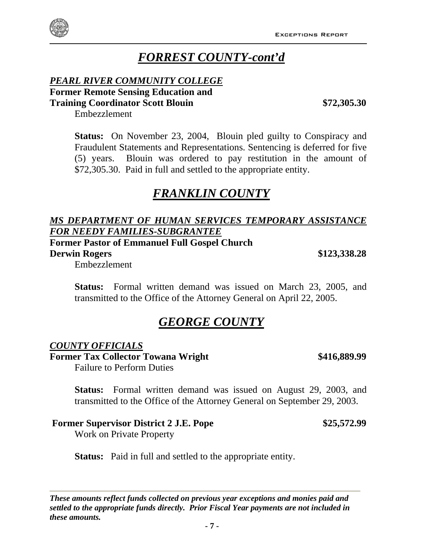# *FORREST COUNTY-cont'd*

#### *PEARL RIVER COMMUNITY COLLEGE* **Former Remote Sensing Education and Training Coordinator Scott Blouin \$72,305.30**

Embezzlement

**Status:** On November 23, 2004, Blouin pled guilty to Conspiracy and Fraudulent Statements and Representations. Sentencing is deferred for five (5) years. Blouin was ordered to pay restitution in the amount of \$72,305.30. Paid in full and settled to the appropriate entity.

# *FRANKLIN COUNTY*

#### *MS DEPARTMENT OF HUMAN SERVICES TEMPORARY ASSISTANCE FOR NEEDY FAMILIES-SUBGRANTEE*

**Former Pastor of Emmanuel Full Gospel Church** 

**Derwin Rogers \$123,338.28** 

Embezzlement

**Status:** Formal written demand was issued on March 23, 2005, and transmitted to the Office of the Attorney General on April 22, 2005.

# *GEORGE COUNTY*

#### *COUNTY OFFICIALS*

Former Tax Collector Towana Wright  $$416,889.99$ Failure to Perform Duties

**Status:** Formal written demand was issued on August 29, 2003, and transmitted to the Office of the Attorney General on September 29, 2003.

#### **Former Supervisor District 2 J.E. Pope**  $$25,572.99$

Work on Private Property

**Status:** Paid in full and settled to the appropriate entity.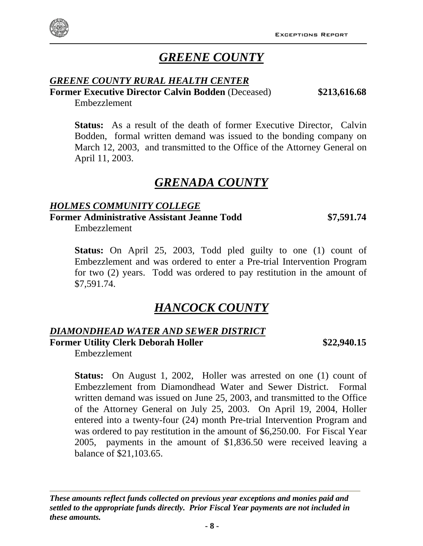

# *GREENE COUNTY*

#### *GREENE COUNTY RURAL HEALTH CENTER*

**Former Executive Director Calvin Bodden** (Deceased) **\$213,616.68**

Embezzlement

**Status:** As a result of the death of former Executive Director, Calvin Bodden, formal written demand was issued to the bonding company on March 12, 2003, and transmitted to the Office of the Attorney General on April 11, 2003.

## *GRENADA COUNTY*

#### *HOLMES COMMUNITY COLLEGE* **Former Administrative Assistant Jeanne Todd \$7,591.74**

Embezzlement

**Status:** On April 25, 2003, Todd pled guilty to one (1) count of Embezzlement and was ordered to enter a Pre-trial Intervention Program for two (2) years. Todd was ordered to pay restitution in the amount of \$7,591.74.

## *HANCOCK COUNTY*

#### *DIAMONDHEAD WATER AND SEWER DISTRICT* **Former Utility Clerk Deborah Holler \$22,940.15**

Embezzlement

**Status:** On August 1, 2002, Holler was arrested on one (1) count of Embezzlement from Diamondhead Water and Sewer District. Formal written demand was issued on June 25, 2003, and transmitted to the Office of the Attorney General on July 25, 2003. On April 19, 2004, Holler entered into a twenty-four (24) month Pre-trial Intervention Program and was ordered to pay restitution in the amount of \$6,250.00. For Fiscal Year 2005, payments in the amount of \$1,836.50 were received leaving a balance of \$21,103.65.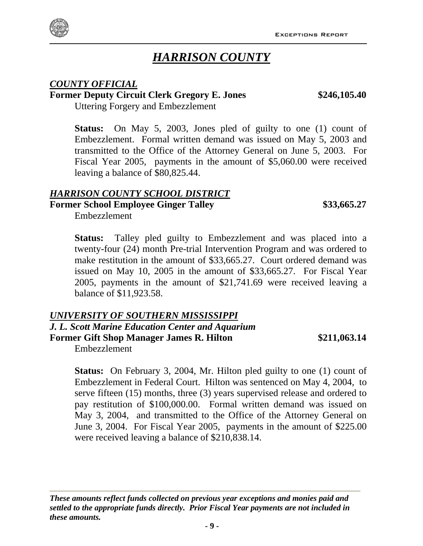**- 9 -**

# *HARRISON COUNTY*

#### *COUNTY OFFICIAL*

## **Former Deputy Circuit Clerk Gregory E. Jones \$246,105.40**

Uttering Forgery and Embezzlement

**Status:** On May 5, 2003, Jones pled of guilty to one (1) count of Embezzlement. Formal written demand was issued on May 5, 2003 and transmitted to the Office of the Attorney General on June 5, 2003. For Fiscal Year 2005, payments in the amount of \$5,060.00 were received leaving a balance of \$80,825.44.

#### *HARRISON COUNTY SCHOOL DISTRICT*

**Former School Employee Ginger Talley**  $$33,665.27$ 

Embezzlement

**Status:** Talley pled guilty to Embezzlement and was placed into a twenty-four (24) month Pre-trial Intervention Program and was ordered to make restitution in the amount of \$33,665.27. Court ordered demand was issued on May 10, 2005 in the amount of \$33,665.27. For Fiscal Year 2005, payments in the amount of \$21,741.69 were received leaving a balance of \$11,923.58.

#### *UNIVERSITY OF SOUTHERN MISSISSIPPI*

*J. L. Scott Marine Education Center and Aquarium* **Former Gift Shop Manager James R. Hilton \$211,063.14**

Embezzlement

*these amounts.* 

**Status:** On February 3, 2004, Mr. Hilton pled guilty to one (1) count of Embezzlement in Federal Court. Hilton was sentenced on May 4, 2004, to serve fifteen (15) months, three (3) years supervised release and ordered to pay restitution of \$100,000.00. Formal written demand was issued on May 3, 2004, and transmitted to the Office of the Attorney General on June 3, 2004. For Fiscal Year 2005, payments in the amount of \$225.00 were received leaving a balance of \$210,838.14.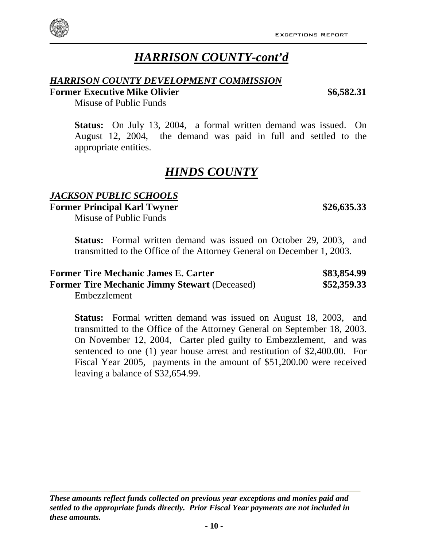#### *These amounts reflect funds collected on previous year exceptions and monies paid and settled to the appropriate funds directly. Prior Fiscal Year payments are not included in these amounts.*

# *HARRISON COUNTY-cont'd*

#### *HARRISON COUNTY DEVELOPMENT COMMISSION*

#### **Former Executive Mike Olivier 66,582.31**  \$6,582.31

Misuse of Public Funds

**Status:** On July 13, 2004, a formal written demand was issued. On August 12, 2004, the demand was paid in full and settled to the appropriate entities.

# *HINDS COUNTY*

#### *JACKSON PUBLIC SCHOOLS*

**Former Principal Karl Twyner** \$26,635.33

Misuse of Public Funds

**Status:** Formal written demand was issued on October 29, 2003, and transmitted to the Office of the Attorney General on December 1, 2003.

| <b>Former Tire Mechanic James E. Carter</b>          | \$83,854.99 |
|------------------------------------------------------|-------------|
| <b>Former Tire Mechanic Jimmy Stewart (Deceased)</b> | \$52,359.33 |
| $Embarz$ lamant                                      |             |

Embezzlement

| transmitted to the Office of the Attorney General on September 18, 2003.  |
|---------------------------------------------------------------------------|
| On November 12, 2004, Carter pled guilty to Embezzlement, and was         |
| sentenced to one (1) year house arrest and restitution of \$2,400.00. For |
| Fiscal Year 2005, payments in the amount of \$51,200.00 were received     |
| leaving a balance of \$32,654.99.                                         |
|                                                                           |

**Status:** Formal written demand was issued on August 18, 2003, and

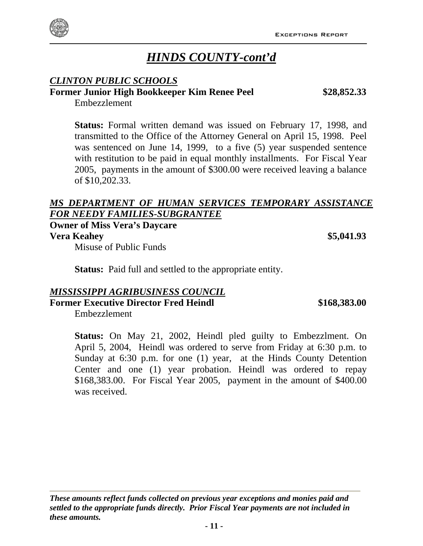

# *HINDS COUNTY-cont'd*

#### *CLINTON PUBLIC SCHOOLS*

#### **Former Junior High Bookkeeper Kim Renee Peel \$28,852.33**

Embezzlement

**Status:** Formal written demand was issued on February 17, 1998, and transmitted to the Office of the Attorney General on April 15, 1998. Peel was sentenced on June 14, 1999, to a five (5) year suspended sentence with restitution to be paid in equal monthly installments. For Fiscal Year 2005, payments in the amount of \$300.00 were received leaving a balance of \$10,202.33.

#### *MS DEPARTMENT OF HUMAN SERVICES TEMPORARY ASSISTANCE FOR NEEDY FAMILIES-SUBGRANTEE*

**Owner of Miss Vera's Daycare Vera Keahey 35,041.93** 

Misuse of Public Funds

**Status:** Paid full and settled to the appropriate entity.

#### *MISSISSIPPI AGRIBUSINESS COUNCIL*

**Former Executive Director Fred Heindl \$168,383.00** 

Embezzlement

**Status:** On May 21, 2002, Heindl pled guilty to Embezzlment. On April 5, 2004, Heindl was ordered to serve from Friday at 6:30 p.m. to Sunday at 6:30 p.m. for one (1) year, at the Hinds County Detention Center and one (1) year probation. Heindl was ordered to repay \$168,383.00. For Fiscal Year 2005, payment in the amount of \$400.00 was received.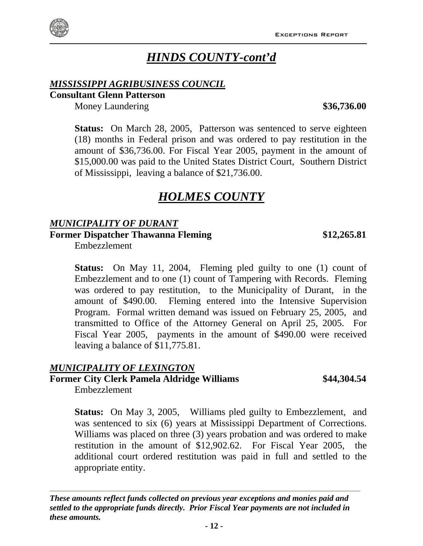# *HINDS COUNTY-cont'd*

#### *MISSISSIPPI AGRIBUSINESS COUNCIL*

#### **Consultant Glenn Patterson**

Money Laundering **\$36,736.00**

**Status:** On March 28, 2005, Patterson was sentenced to serve eighteen (18) months in Federal prison and was ordered to pay restitution in the amount of \$36,736.00. For Fiscal Year 2005, payment in the amount of \$15,000.00 was paid to the United States District Court, Southern District of Mississippi, leaving a balance of \$21,736.00.

# *HOLMES COUNTY*

#### *MUNICIPALITY OF DURANT*

**Former Dispatcher Thawanna Fleming \$12,265.81**

Embezzlement

**Status:** On May 11, 2004, Fleming pled guilty to one (1) count of Embezzlement and to one (1) count of Tampering with Records. Fleming was ordered to pay restitution, to the Municipality of Durant, in the amount of \$490.00. Fleming entered into the Intensive Supervision Program. Formal written demand was issued on February 25, 2005, and transmitted to Office of the Attorney General on April 25, 2005. For Fiscal Year 2005, payments in the amount of \$490.00 were received leaving a balance of \$11,775.81.

#### *MUNICIPALITY OF LEXINGTON*

# **Former City Clerk Pamela Aldridge Williams \$44,304.54**

Embezzlement

**Status:** On May 3, 2005, Williams pled guilty to Embezzlement, and was sentenced to six (6) years at Mississippi Department of Corrections. Williams was placed on three (3) years probation and was ordered to make restitution in the amount of \$12,902.62. For Fiscal Year 2005, the additional court ordered restitution was paid in full and settled to the appropriate entity.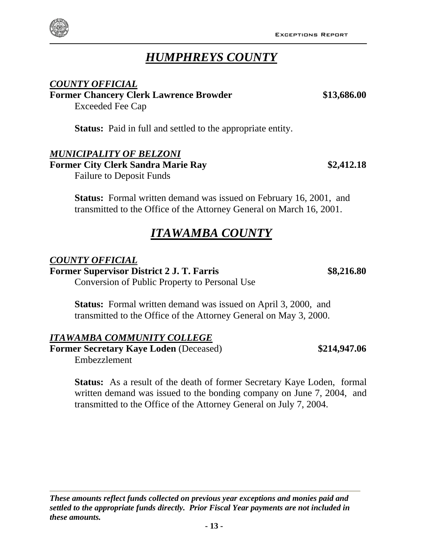Exceptions Report

*HUMPHREYS COUNTY*

**Status:** Paid in full and settled to the appropriate entity.

#### *MUNICIPALITY OF BELZONI*

Exceeded Fee Cap

*COUNTY OFFICIAL*

**Former City Clerk Sandra Marie Ray \$2,412.18**  Failure to Deposit Funds

**Status:** Formal written demand was issued on February 16, 2001, and transmitted to the Office of the Attorney General on March 16, 2001.

#### *ITAWAMBA COUNTY*

#### *COUNTY OFFICIAL*

**Former Supervisor District 2 J. T. Farris \$8,216.80**

Conversion of Public Property to Personal Use

**Status:** Formal written demand was issued on April 3, 2000, and transmitted to the Office of the Attorney General on May 3, 2000.

#### *ITAWAMBA COMMUNITY COLLEGE*

**Former Secretary Kaye Loden** (Deceased) \$214,947.06 Embezzlement

**Status:** As a result of the death of former Secretary Kaye Loden, formal written demand was issued to the bonding company on June 7, 2004, and transmitted to the Office of the Attorney General on July 7, 2004.

**Former Chancery Clerk Lawrence Browder \$13,686.00**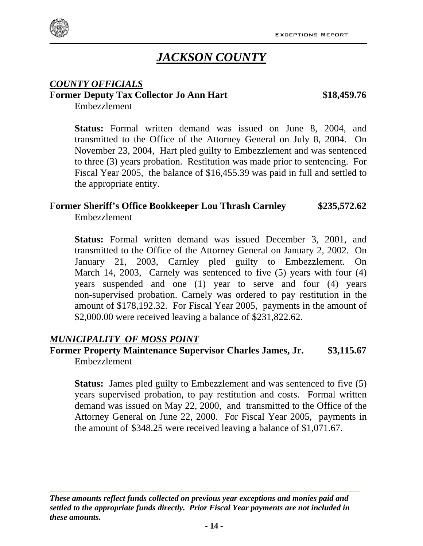

# *JACKSON COUNTY*

#### *COUNTY OFFICIALS* **Former Deputy Tax Collector Jo Ann Hart \$18,459.76**

Embezzlement

**Status:** Formal written demand was issued on June 8, 2004, and transmitted to the Office of the Attorney General on July 8, 2004. On November 23, 2004, Hart pled guilty to Embezzlement and was sentenced to three (3) years probation. Restitution was made prior to sentencing. For Fiscal Year 2005, the balance of \$16,455.39 was paid in full and settled to the appropriate entity.

# **Former Sheriff's Office Bookkeeper Lou Thrash Carnley \$235,572.62**

Embezzlement

**Status:** Formal written demand was issued December 3, 2001, and transmitted to the Office of the Attorney General on January 2, 2002. On January 21, 2003, Carnley pled guilty to Embezzlement. On March 14, 2003, Carnely was sentenced to five (5) years with four (4) years suspended and one (1) year to serve and four (4) years non-supervised probation. Carnely was ordered to pay restitution in the amount of \$178,192.32. For Fiscal Year 2005, payments in the amount of \$2,000.00 were received leaving a balance of \$231,822.62.

#### *MUNICIPALITY OF MOSS POINT*

#### **Former Property Maintenance Supervisor Charles James, Jr. \$3,115.67** Embezzlement

**Status:** James pled guilty to Embezzlement and was sentenced to five (5) years supervised probation, to pay restitution and costs. Formal written demand was issued on May 22, 2000, and transmitted to the Office of the Attorney General on June 22, 2000. For Fiscal Year 2005, payments in the amount of \$348.25 were received leaving a balance of \$1,071.67.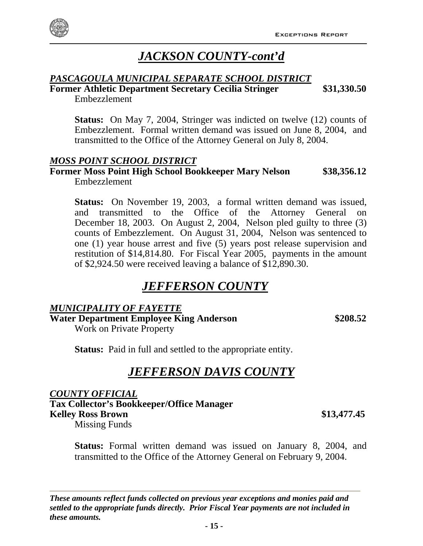

# *JACKSON COUNTY-cont'd*

#### *PASCAGOULA MUNICIPAL SEPARATE SCHOOL DISTRICT*

**Former Athletic Department Secretary Cecilia Stringer \$31,330.50** Embezzlement

**Status:** On May 7, 2004, Stringer was indicted on twelve (12) counts of Embezzlement. Formal written demand was issued on June 8, 2004, and transmitted to the Office of the Attorney General on July 8, 2004.

#### *MOSS POINT SCHOOL DISTRICT*

#### **Former Moss Point High School Bookkeeper Mary Nelson \$38,356.12** Embezzlement

**Status:** On November 19, 2003, a formal written demand was issued, and transmitted to the Office of the Attorney General on December 18, 2003. On August 2, 2004, Nelson pled guilty to three (3) counts of Embezzlement. On August 31, 2004, Nelson was sentenced to one (1) year house arrest and five (5) years post release supervision and restitution of \$14,814.80. For Fiscal Year 2005, payments in the amount of \$2,924.50 were received leaving a balance of \$12,890.30.

# *JEFFERSON COUNTY*

#### *MUNICIPALITY OF FAYETTE*

**Water Department Employee King Anderson \$208.52** 

Work on Private Property

**Status:** Paid in full and settled to the appropriate entity.

# *JEFFERSON DAVIS COUNTY*

*COUNTY OFFICIAL*

**Tax Collector's Bookkeeper/Office Manager Kelley Ross Brown \$13,477.45** 

Missing Funds

**Status:** Formal written demand was issued on January 8, 2004, and transmitted to the Office of the Attorney General on February 9, 2004.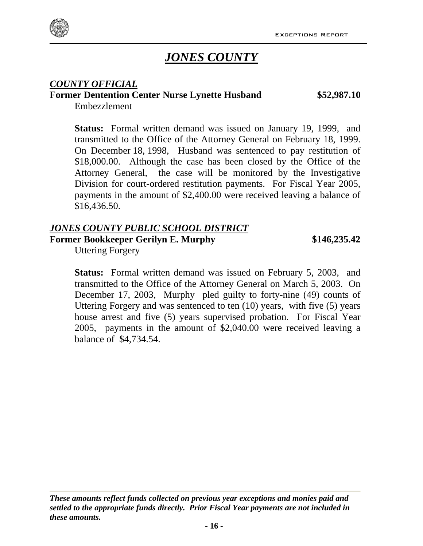

# *JONES COUNTY*

#### *COUNTY OFFICIAL*

#### **Former Dentention Center Nurse Lynette Husband \$52,987.10**

Embezzlement

**Status:** Formal written demand was issued on January 19, 1999, and transmitted to the Office of the Attorney General on February 18, 1999. On December 18, 1998, Husband was sentenced to pay restitution of \$18,000.00. Although the case has been closed by the Office of the Attorney General, the case will be monitored by the Investigative Division for court-ordered restitution payments. For Fiscal Year 2005, payments in the amount of \$2,400.00 were received leaving a balance of \$16,436.50.

#### *JONES COUNTY PUBLIC SCHOOL DISTRICT*

**Former Bookkeeper Gerilyn E. Murphy \$146,235.42**

Uttering Forgery

**Status:** Formal written demand was issued on February 5, 2003, and transmitted to the Office of the Attorney General on March 5, 2003. On December 17, 2003, Murphy pled guilty to forty-nine (49) counts of Uttering Forgery and was sentenced to ten (10) years, with five (5) years house arrest and five (5) years supervised probation. For Fiscal Year 2005, payments in the amount of \$2,040.00 were received leaving a balance of \$4,734.54.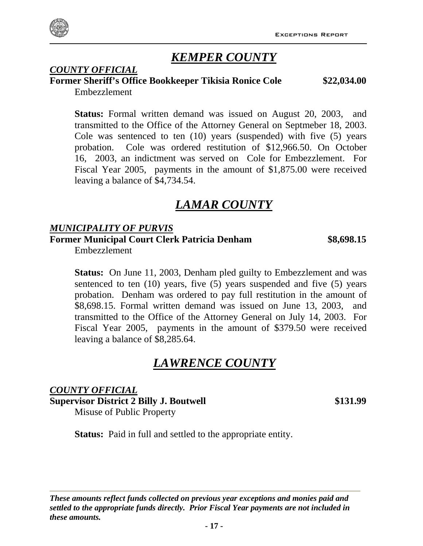# *KEMPER COUNTY*

# *COUNTY OFFICIAL*

**Former Sheriff's Office Bookkeeper Tikisia Ronice Cole \$22,034.00**  Embezzlement

**Status:** Formal written demand was issued on August 20, 2003, and transmitted to the Office of the Attorney General on Septmeber 18, 2003. Cole was sentenced to ten (10) years (suspended) with five (5) years probation. Cole was ordered restitution of \$12,966.50. On October 16, 2003, an indictment was served on Cole for Embezzlement. For Fiscal Year 2005, payments in the amount of \$1,875.00 were received leaving a balance of \$4,734.54.

# *LAMAR COUNTY*

#### *MUNICIPALITY OF PURVIS*

**Former Municipal Court Clerk Patricia Denham \$8,698.15**

Embezzlement

**Status:** On June 11, 2003, Denham pled guilty to Embezzlement and was sentenced to ten (10) years, five (5) years suspended and five (5) years probation. Denham was ordered to pay full restitution in the amount of \$8,698.15. Formal written demand was issued on June 13, 2003, and transmitted to the Office of the Attorney General on July 14, 2003. For Fiscal Year 2005, payments in the amount of \$379.50 were received leaving a balance of \$8,285.64.

# *LAWRENCE COUNTY*

*COUNTY OFFICIAL* **Supervisor District 2 Billy J. Boutwell \$131.99**  Misuse of Public Property

**Status:** Paid in full and settled to the appropriate entity.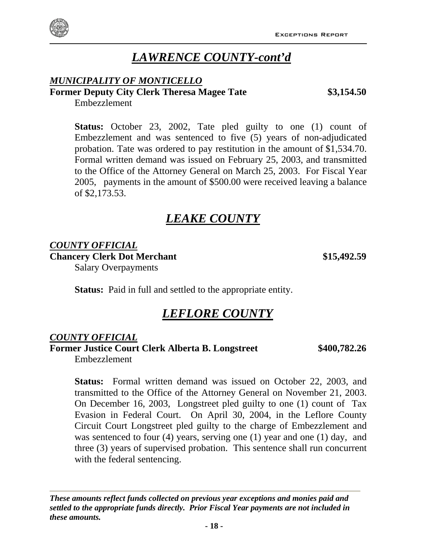# *LAWRENCE COUNTY-cont'd*

### *MUNICIPALITY OF MONTICELLO*

### **Former Deputy City Clerk Theresa Magee Tate \$3,154.50**

Embezzlement

**Status:** October 23, 2002, Tate pled guilty to one (1) count of Embezzlement and was sentenced to five (5) years of non-adjudicated probation. Tate was ordered to pay restitution in the amount of \$1,534.70. Formal written demand was issued on February 25, 2003, and transmitted to the Office of the Attorney General on March 25, 2003. For Fiscal Year 2005, payments in the amount of \$500.00 were received leaving a balance of \$2,173.53.

# *LEAKE COUNTY*

#### *COUNTY OFFICIAL*

**Chancery Clerk Dot Merchant** \$15,492.59

Salary Overpayments

**Status:** Paid in full and settled to the appropriate entity.

## *LEFLORE COUNTY*

#### *COUNTY OFFICIAL*

**Former Justice Court Clerk Alberta B. Longstreet \$400,782.26**

Embezzlement

**Status:** Formal written demand was issued on October 22, 2003, and transmitted to the Office of the Attorney General on November 21, 2003. On December 16, 2003, Longstreet pled guilty to one (1) count of Tax Evasion in Federal Court. On April 30, 2004, in the Leflore County Circuit Court Longstreet pled guilty to the charge of Embezzlement and was sentenced to four (4) years, serving one (1) year and one (1) day, and three (3) years of supervised probation. This sentence shall run concurrent with the federal sentencing.

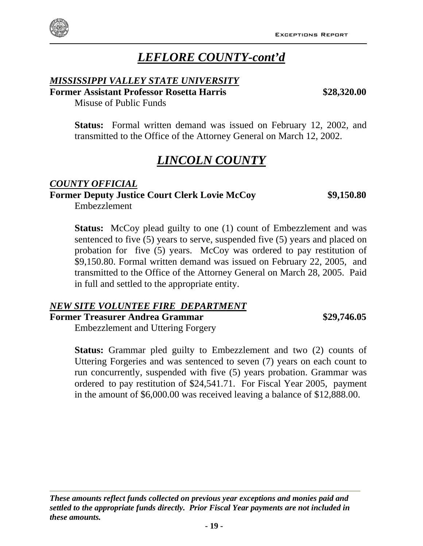# *LEFLORE COUNTY-cont'd*

#### *MISSISSIPPI VALLEY STATE UNIVERSITY*

**Former Assistant Professor Rosetta Harris \$28,320.00**

Misuse of Public Funds

**Status:** Formal written demand was issued on February 12, 2002, and transmitted to the Office of the Attorney General on March 12, 2002.

# *LINCOLN COUNTY*

# *COUNTY OFFICIAL* **Former Deputy Justice Court Clerk Lovie McCoy \$9,150.80**

Embezzlement

**Status:** McCoy plead guilty to one (1) count of Embezzlement and was sentenced to five (5) years to serve, suspended five (5) years and placed on probation for five (5) years. McCoy was ordered to pay restitution of \$9,150.80. Formal written demand was issued on February 22, 2005, and transmitted to the Office of the Attorney General on March 28, 2005. Paid in full and settled to the appropriate entity.

#### *NEW SITE VOLUNTEE FIRE DEPARTMENT*

**Former Treasurer Andrea Grammar \$29,746.05**

Embezzlement and Uttering Forgery

**Status:** Grammar pled guilty to Embezzlement and two (2) counts of Uttering Forgeries and was sentenced to seven (7) years on each count to run concurrently, suspended with five (5) years probation. Grammar was ordered to pay restitution of \$24,541.71. For Fiscal Year 2005, payment in the amount of \$6,000.00 was received leaving a balance of \$12,888.00.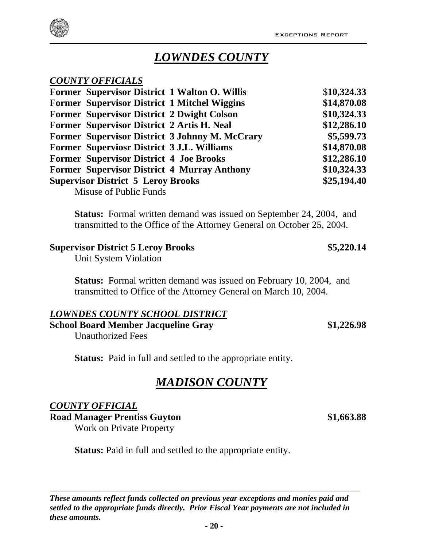

# *LOWNDES COUNTY*

#### *COUNTY OFFICIALS*

| Former Supervisor District 1 Walton O. Willis      | \$10,324.33 |
|----------------------------------------------------|-------------|
| Former Supervisor District 1 Mitchel Wiggins       | \$14,870.08 |
| <b>Former Supervisor District 2 Dwight Colson</b>  | \$10,324.33 |
| Former Supervisor District 2 Artis H. Neal         | \$12,286.10 |
| Former Supervisor District 3 Johnny M. McCrary     | \$5,599.73  |
| Former Superviosr District 3 J.L. Williams         | \$14,870.08 |
| <b>Former Supervisor District 4 Joe Brooks</b>     | \$12,286.10 |
| <b>Former Supervisor District 4 Murray Anthony</b> | \$10,324.33 |
| <b>Supervisor District 5 Leroy Brooks</b>          | \$25,194.40 |
| $M_{\text{cusp}}$ of $\text{D}_v$ kko $\text{D}_v$ |             |

Misuse of Public Funds

**Status:** Formal written demand was issued on September 24, 2004, and transmitted to the Office of the Attorney General on October 25, 2004.

#### **Supervisor District 5 Leroy Brooks \$5,220.14**

Unit System Violation

**Status:** Formal written demand was issued on February 10, 2004, and transmitted to Office of the Attorney General on March 10, 2004.

#### *LOWNDES COUNTY SCHOOL DISTRICT*

**School Board Member Jacqueline Gray \$1,226.98** 

Unauthorized Fees

**Status:** Paid in full and settled to the appropriate entity.

## *MADISON COUNTY*

#### *COUNTY OFFICIAL*

Road Manager Prentiss Guyton **\$1,663.88** 

Work on Private Property

**Status:** Paid in full and settled to the appropriate entity.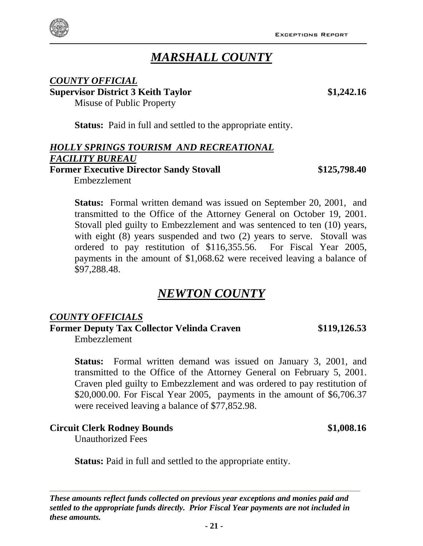

#### *COUNTY OFFICIAL* **Supervisor District 3 Keith Taylor \$1,242.16**  Misuse of Public Property

**Status:** Paid in full and settled to the appropriate entity.

#### *HOLLY SPRINGS TOURISM AND RECREATIONAL FACILITY BUREAU* **Former Executive Director Sandy Stovall**  $$125,798.40$

**Status:** Formal written demand was issued on September 20, 2001, and transmitted to the Office of the Attorney General on October 19, 2001. Stovall pled guilty to Embezzlement and was sentenced to ten (10) years, with eight (8) years suspended and two (2) years to serve. Stovall was ordered to pay restitution of \$116,355.56. For Fiscal Year 2005, payments in the amount of \$1,068.62 were received leaving a balance of \$97,288.48.

# *NEWTON COUNTY*

#### *COUNTY OFFICIALS*

Embezzlement

**Former Deputy Tax Collector Velinda Craven \$119,126.53** Embezzlement

**Status:** Formal written demand was issued on January 3, 2001, and transmitted to the Office of the Attorney General on February 5, 2001. Craven pled guilty to Embezzlement and was ordered to pay restitution of \$20,000.00. For Fiscal Year 2005, payments in the amount of \$6,706.37 were received leaving a balance of \$77,852.98.

#### **Circuit Clerk Rodney Bounds \$1,008.16**  Unauthorized Fees

**Status:** Paid in full and settled to the appropriate entity.

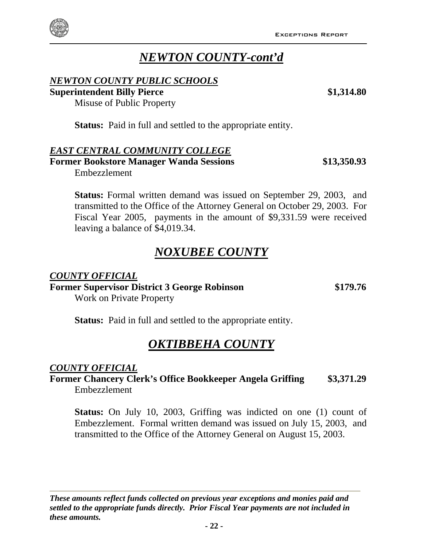# *NEWTON COUNTY-cont'd*

#### *NEWTON COUNTY PUBLIC SCHOOLS*

**Superintendent Billy Pierce \$1,314.80** 

Misuse of Public Property

**Status:** Paid in full and settled to the appropriate entity.

#### *EAST CENTRAL COMMUNITY COLLEGE*

**Former Bookstore Manager Wanda Sessions \$13,350.93** Embezzlement

**Status:** Formal written demand was issued on September 29, 2003, and transmitted to the Office of the Attorney General on October 29, 2003. For Fiscal Year 2005, payments in the amount of \$9,331.59 were received leaving a balance of \$4,019.34.

# *NOXUBEE COUNTY*

*COUNTY OFFICIAL* **Former Supervisor District 3 George Robinson \$179.76** Work on Private Property

**Status:** Paid in full and settled to the appropriate entity.

# *OKTIBBEHA COUNTY*

#### *COUNTY OFFICIAL*

**Former Chancery Clerk's Office Bookkeeper Angela Griffing \$3,371.29** Embezzlement

**Status:** On July 10, 2003, Griffing was indicted on one (1) count of Embezzlement. Formal written demand was issued on July 15, 2003, and transmitted to the Office of the Attorney General on August 15, 2003.

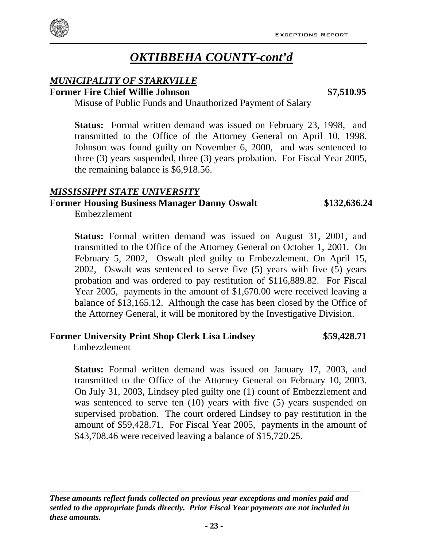# *OKTIBBEHA COUNTY-cont'd*

#### *MUNICIPALITY OF STARKVILLE* **Former Fire Chief Willie Johnson \$7,510.95**

Misuse of Public Funds and Unauthorized Payment of Salary

**Status:** Formal written demand was issued on February 23, 1998, and transmitted to the Office of the Attorney General on April 10, 1998. Johnson was found guilty on November 6, 2000, and was sentenced to three (3) years suspended, three (3) years probation. For Fiscal Year 2005, the remaining balance is \$6,918.56.

#### *MISSISSIPPI STATE UNIVERSITY*

#### **Former Housing Business Manager Danny Oswalt \$132,636.24**

Embezzlement

Embezzlement

**Status:** Formal written demand was issued on August 31, 2001, and transmitted to the Office of the Attorney General on October 1, 2001. On February 5, 2002, Oswalt pled guilty to Embezzlement. On April 15, 2002, Oswalt was sentenced to serve five (5) years with five (5) years probation and was ordered to pay restitution of \$116,889.82. For Fiscal Year 2005, payments in the amount of \$1,670.00 were received leaving a balance of \$13,165.12. Although the case has been closed by the Office of the Attorney General, it will be monitored by the Investigative Division.

#### **Former University Print Shop Clerk Lisa Lindsey \$59,428.71**

**Status:** Formal written demand was issued on January 17, 2003, and transmitted to the Office of the Attorney General on February 10, 2003. On July 31, 2003, Lindsey pled guilty one (1) count of Embezzlement and was sentenced to serve ten (10) years with five (5) years suspended on supervised probation. The court ordered Lindsey to pay restitution in the amount of \$59,428.71. For Fiscal Year 2005, payments in the amount of \$43,708.46 were received leaving a balance of \$15,720.25.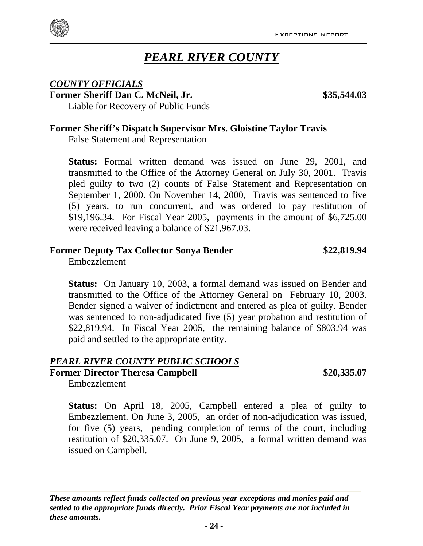

# *PEARL RIVER COUNTY*

#### *COUNTY OFFICIALS*

**Former Sheriff Dan C. McNeil, Jr. 635,544.03** 

Liable for Recovery of Public Funds

#### **Former Sheriff's Dispatch Supervisor Mrs. Gloistine Taylor Travis**

False Statement and Representation

**Status:** Formal written demand was issued on June 29, 2001, and transmitted to the Office of the Attorney General on July 30, 2001. Travis pled guilty to two (2) counts of False Statement and Representation on September 1, 2000. On November 14, 2000, Travis was sentenced to five (5) years, to run concurrent, and was ordered to pay restitution of \$19,196.34. For Fiscal Year 2005, payments in the amount of \$6,725.00 were received leaving a balance of \$21,967.03.

#### **Former Deputy Tax Collector Sonya Bender \$22,819.94**

Embezzlement

**Status:** On January 10, 2003, a formal demand was issued on Bender and transmitted to the Office of the Attorney General on February 10, 2003. Bender signed a waiver of indictment and entered as plea of guilty. Bender was sentenced to non-adjudicated five (5) year probation and restitution of \$22,819.94. In Fiscal Year 2005, the remaining balance of \$803.94 was paid and settled to the appropriate entity.

#### *PEARL RIVER COUNTY PUBLIC SCHOOLS*

#### **Former Director Theresa Campbell \$20,335.07**

Embezzlement

**Status:** On April 18, 2005, Campbell entered a plea of guilty to Embezzlement. On June 3, 2005, an order of non-adjudication was issued, for five (5) years, pending completion of terms of the court, including restitution of \$20,335.07. On June 9, 2005, a formal written demand was issued on Campbell.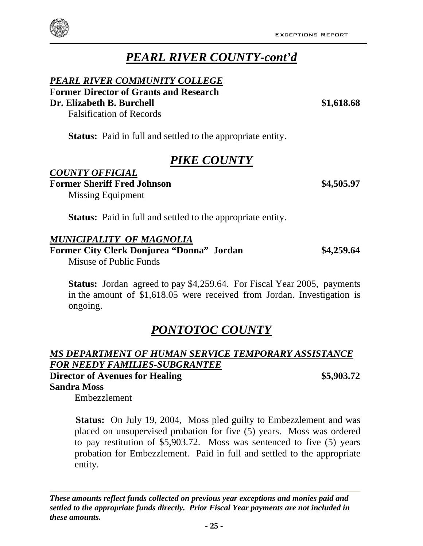# *PEARL RIVER COUNTY-cont'd*

#### *PEARL RIVER COMMUNITY COLLEGE*

**Former Director of Grants and Research** 

**Dr. Elizabeth B. Burchell \$1,618.68** 

Falsification of Records

**Status:** Paid in full and settled to the appropriate entity.

# *PIKE COUNTY*

#### *COUNTY OFFICIAL* **Former Sheriff Fred Johnson** \$4,505.97 Missing Equipment

**Status:** Paid in full and settled to the appropriate entity.

#### *MUNICIPALITY OF MAGNOLIA*

**Former City Clerk Donjurea "Donna" Jordan \$4,259.64** 

Misuse of Public Funds

**Status:** Jordan agreed to pay \$4,259.64. For Fiscal Year 2005, payments in the amount of \$1,618.05 were received from Jordan. Investigation is ongoing.

# *PONTOTOC COUNTY*

#### *MS DEPARTMENT OF HUMAN SERVICE TEMPORARY ASSISTANCE FOR NEEDY FAMILIES-SUBGRANTEE*

#### **Director of Avenues for Healing \$5,903.72 Sandra Moss**

Embezzlement

 **Status:** On July 19, 2004, Moss pled guilty to Embezzlement and was placed on unsupervised probation for five (5) years. Moss was ordered to pay restitution of \$5,903.72. Moss was sentenced to five (5) years probation for Embezzlement.Paid in full and settled to the appropriate entity.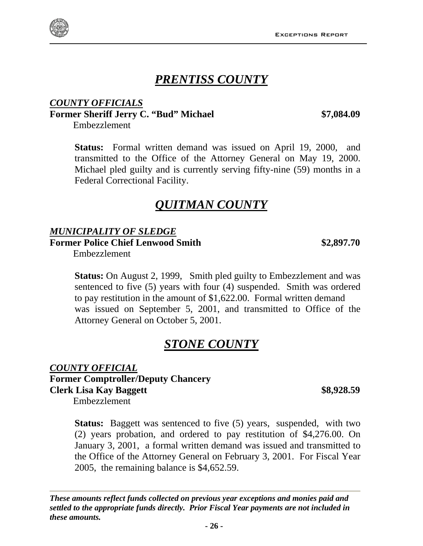# *PRENTISS COUNTY*

### *COUNTY OFFICIALS* **Former Sheriff Jerry C. "Bud" Michael \$7,084.09**

Embezzlement

**Status:** Formal written demand was issued on April 19, 2000, and transmitted to the Office of the Attorney General on May 19, 2000. Michael pled guilty and is currently serving fifty-nine (59) months in a Federal Correctional Facility.

# *QUITMAN COUNTY*

#### *MUNICIPALITY OF SLEDGE*

**Former Police Chief Lenwood Smith \$2,897.70** 

Embezzlement

**Status:** On August 2, 1999, Smith pled guilty to Embezzlement and was sentenced to five (5) years with four (4) suspended. Smith was ordered to pay restitution in the amount of \$1,622.00. Formal written demand was issued on September 5, 2001, and transmitted to Office of the Attorney General on October 5, 2001.

# *STONE COUNTY*

*COUNTY OFFICIAL* **Former Comptroller/Deputy Chancery Clerk Lisa Kay Baggett** \$8,928.59

Embezzlement

**Status:** Baggett was sentenced to five (5) years, suspended, with two (2) years probation, and ordered to pay restitution of \$4,276.00. On January 3, 2001, a formal written demand was issued and transmitted to the Office of the Attorney General on February 3, 2001. For Fiscal Year 2005, the remaining balance is \$4,652.59.

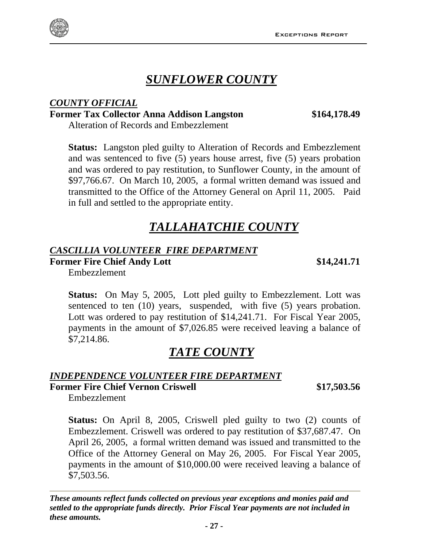

# *SUNFLOWER COUNTY*

#### *COUNTY OFFICIAL* **Former Tax Collector Anna Addison Langston \$164,178.49**

Alteration of Records and Embezzlement

**Status:** Langston pled guilty to Alteration of Records and Embezzlement and was sentenced to five (5) years house arrest, five (5) years probation and was ordered to pay restitution, to Sunflower County, in the amount of \$97,766.67. On March 10, 2005, a formal written demand was issued and transmitted to the Office of the Attorney General on April 11, 2005. Paid in full and settled to the appropriate entity.

# *TALLAHATCHIE COUNTY*

#### *CASCILLIA VOLUNTEER FIRE DEPARTMENT*

**Former Fire Chief Andy Lott** \$14,241.71

Embezzlement

**Status:** On May 5, 2005, Lott pled guilty to Embezzlement. Lott was sentenced to ten (10) years, suspended, with five (5) years probation. Lott was ordered to pay restitution of \$14,241.71. For Fiscal Year 2005, payments in the amount of \$7,026.85 were received leaving a balance of \$7,214.86.

# *TATE COUNTY*

#### *INDEPENDENCE VOLUNTEER FIRE DEPARTMENT*

#### **Former Fire Chief Vernon Criswell \$17,503.56**

Embezzlement

**Status:** On April 8, 2005, Criswell pled guilty to two (2) counts of Embezzlement. Criswell was ordered to pay restitution of \$37,687.47. On April 26, 2005, a formal written demand was issued and transmitted to the Office of the Attorney General on May 26, 2005. For Fiscal Year 2005, payments in the amount of \$10,000.00 were received leaving a balance of \$7,503.56.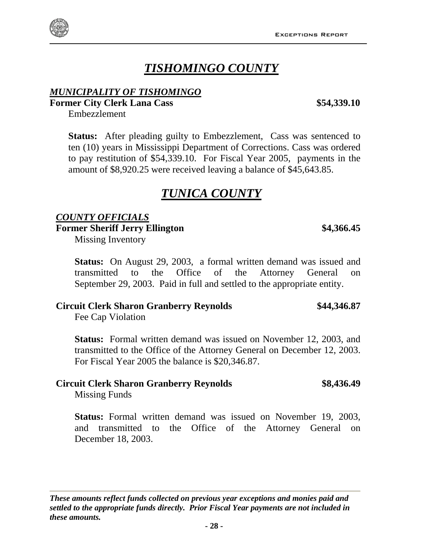# *TISHOMINGO COUNTY*

#### *MUNICIPALITY OF TISHOMINGO*

**Former City Clerk Lana Cass \$54,339.10** 

Embezzlement

**Status:** After pleading guilty to Embezzlement, Cass was sentenced to ten (10) years in Mississippi Department of Corrections. Cass was ordered to pay restitution of \$54,339.10. For Fiscal Year 2005, payments in the amount of \$8,920.25 were received leaving a balance of \$45,643.85.

# *TUNICA COUNTY*

#### *COUNTY OFFICIALS*

Former Sheriff Jerry Ellington  $$4,366.45$ 

Missing Inventory

**Status:** On August 29, 2003, a formal written demand was issued and transmitted to the Office of the Attorney General on September 29, 2003. Paid in full and settled to the appropriate entity.

#### **Circuit Clerk Sharon Granberry Reynolds \$44,346.87**

Fee Cap Violation

**Status:** Formal written demand was issued on November 12, 2003, and transmitted to the Office of the Attorney General on December 12, 2003. For Fiscal Year 2005 the balance is \$20,346.87.

# **Circuit Clerk Sharon Granberry Reynolds \$8,436.49**

Missing Funds

**Status:** Formal written demand was issued on November 19, 2003, and transmitted to the Office of the Attorney General on December 18, 2003.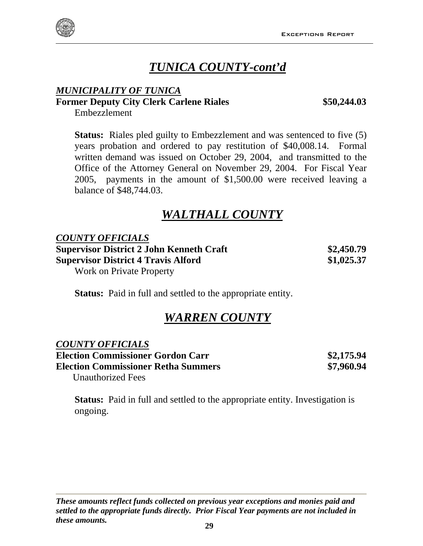

# *TUNICA COUNTY-cont'd*

#### *MUNICIPALITY OF TUNICA* **Former Deputy City Clerk Carlene Riales \$50,244.03**

Embezzlement

**Status:** Riales pled guilty to Embezzlement and was sentenced to five (5) years probation and ordered to pay restitution of \$40,008.14. Formal written demand was issued on October 29, 2004, and transmitted to the Office of the Attorney General on November 29, 2004. For Fiscal Year 2005, payments in the amount of \$1,500.00 were received leaving a balance of \$48,744.03.

# *WALTHALL COUNTY*

*COUNTY OFFICIALS* **Supervisor District 2 John Kenneth Craft \$2,450.79 Supervisor District 4 Travis Alford \$1,025.37** Work on Private Property

**Status:** Paid in full and settled to the appropriate entity.

# *WARREN COUNTY*

### *COUNTY OFFICIALS*

**Election Commissioner Gordon Carr \$2,175.94 Election Commissioner Retha Summers \$7,960.94**  Unauthorized Fees

**Status:** Paid in full and settled to the appropriate entity. Investigation is ongoing.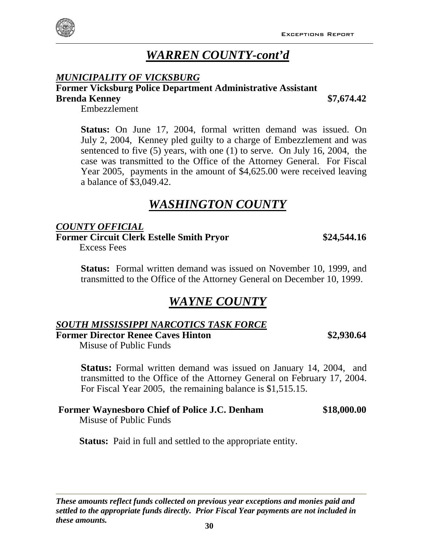# *WARREN COUNTY-cont'd*

#### *MUNICIPALITY OF VICKSBURG*

**Former Vicksburg Police Department Administrative Assistant** 

#### **Brenda Kenney \$7,674.42**

Embezzlement

**Status:** On June 17, 2004, formal written demand was issued. On July 2, 2004, Kenney pled guilty to a charge of Embezzlement and was sentenced to five (5) years, with one (1) to serve. On July 16, 2004, the case was transmitted to the Office of the Attorney General. For Fiscal Year 2005, payments in the amount of \$4,625.00 were received leaving a balance of \$3,049.42.

# *WASHINGTON COUNTY*

#### *COUNTY OFFICIAL*

**Former Circuit Clerk Estelle Smith Pryor \$24,544.16** 

Excess Fees

**Status:** Formal written demand was issued on November 10, 1999, and transmitted to the Office of the Attorney General on December 10, 1999.

# *WAYNE COUNTY*

#### *SOUTH MISSISSIPPI NARCOTICS TASK FORCE*

**Former Director Renee Caves Hinton \$2,930.64**

Misuse of Public Funds

**Status:** Formal written demand was issued on January 14, 2004, and transmitted to the Office of the Attorney General on February 17, 2004. For Fiscal Year 2005, the remaining balance is \$1,515.15.

#### **Former Waynesboro Chief of Police J.C. Denham \$18,000.00**

Misuse of Public Funds

**Status:** Paid in full and settled to the appropriate entity.

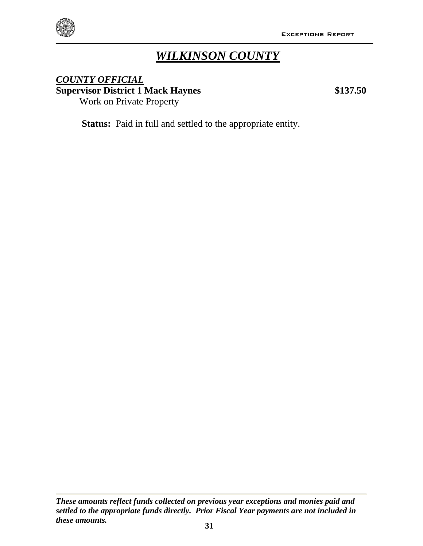

# *WILKINSON COUNTY*

#### *COUNTY OFFICIAL* **Supervisor District 1 Mack Haynes \$137.50** Work on Private Property

**Status:** Paid in full and settled to the appropriate entity.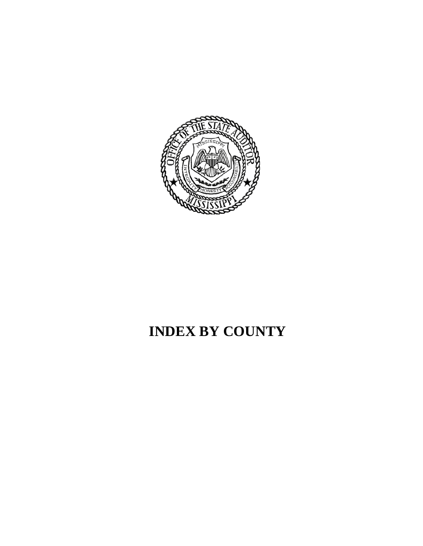

# **INDEX BY COUNTY**